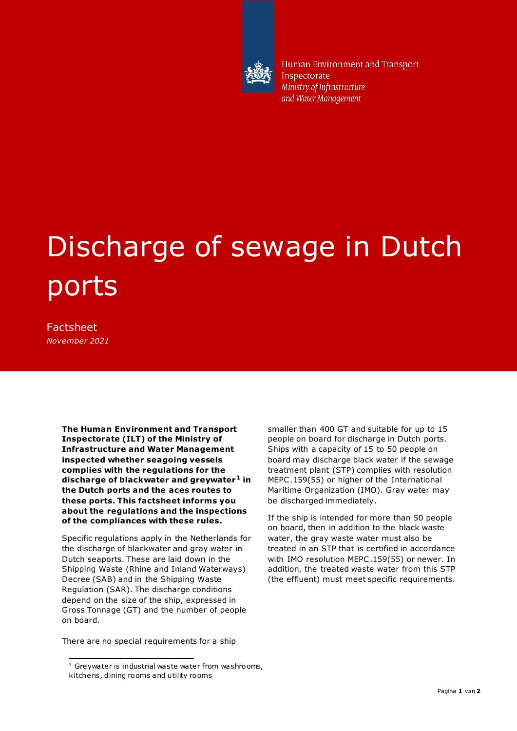

Human Environment and Transport Inspectorate Ministry of Infrastructure and Water Management

## Discharge of sewage in Dutch ports

Factsheet *November 2021*

ł

**The Human Environment and Transport Inspectorate (ILT) of the Ministry of Infrastructure and Water Management inspected whether seagoing vessels complies with the regulations for the discharge of blackwater and greywater <sup>1</sup> in the Dutch ports and the aces routes to these ports. This factsheet informs you about the regulations and the inspections of the compliances with these rules.** 

Specific regulations apply in the Netherlands for the discharge of blackwater and gray water in Dutch seaports. These are laid down in the Shipping Waste (Rhine and Inland Waterways) Decree (SAB) and in the Shipping Waste Regulation (SAR). The discharge conditions depend on the size of the ship, expressed in Gross Tonnage (GT) and the number of people on board.

There are no special requirements for a ship

smaller than 400 GT and suitable for up to 15 people on board for discharge in Dutch ports. Ships with a capacity of 15 to 50 people on board may discharge black water if the sewage treatment plant (STP) complies with resolution MEPC .159(55) or higher of the International Maritime Organization (IMO). Gray water may be discharged immediately.

If the ship is intended for more than 50 people on board, then in addition to the black waste water, the gray waste water must also be treated in an STP that is certified in accordance with IMO resolution MEPC .159(55) or newer. In addition, the treated waste water from this STP (the effluent) must meet specific requirements.

 $1$  Greywater is industrial waste water from washrooms, kitchens, dining rooms and utility rooms